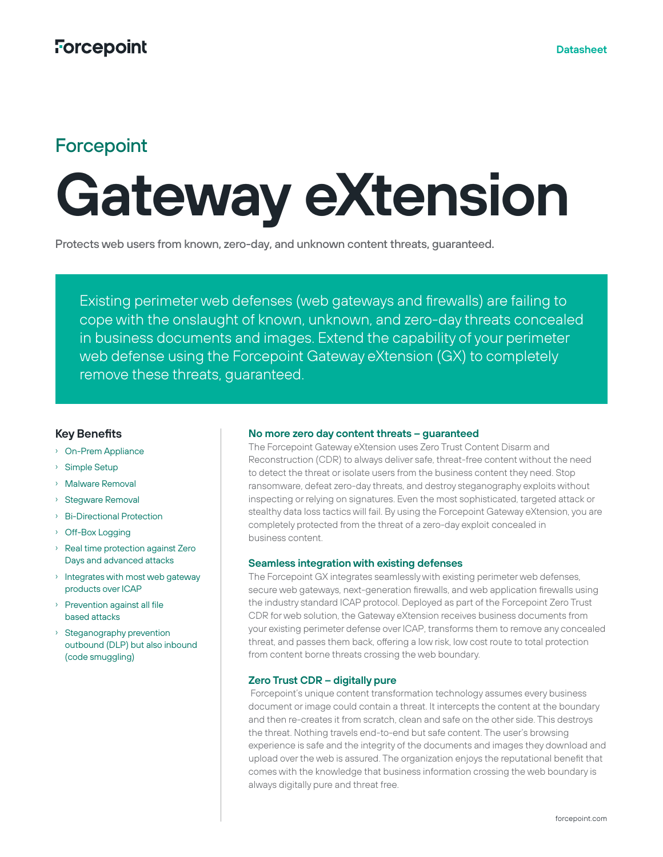# **Forcepoint**

# **Gateway eXtension**

Protects web users from known, zero-day, and unknown content threats, guaranteed.

Existing perimeter web defenses (web gateways and firewalls) are failing to cope with the onslaught of known, unknown, and zero-day threats concealed in business documents and images. Extend the capability of your perimeter web defense using the Forcepoint Gateway eXtension (GX) to completely remove these threats, guaranteed.

## **Key Benefits**

- › On-Prem Appliance
- Simple Setup
- › Malware Removal
- › Stegware Removal
- › Bi-Directional Protection
- › Off-Box Logging
- › Real time protection against Zero Days and advanced attacks
- › Integrates with most web gateway products over ICAP
- › Prevention against all file based attacks
- › Steganography prevention outbound (DLP) but also inbound (code smuggling)

#### **No more zero day content threats – guaranteed**

The Forcepoint Gateway eXtension uses Zero Trust Content Disarm and Reconstruction (CDR) to always deliver safe, threat-free content without the need to detect the threat or isolate users from the business content they need. Stop ransomware, defeat zero-day threats, and destroy steganography exploits without inspecting or relying on signatures. Even the most sophisticated, targeted attack or stealthy data loss tactics will fail. By using the Forcepoint Gateway eXtension, you are completely protected from the threat of a zero-day exploit concealed in business content.

#### **Seamless integration with existing defenses**

The Forcepoint GX integrates seamlessly with existing perimeter web defenses, secure web gateways, next-generation firewalls, and web application firewalls using the industry standard ICAP protocol. Deployed as part of the Forcepoint Zero Trust CDR for web solution, the Gateway eXtension receives business documents from your existing perimeter defense over ICAP, transforms them to remove any concealed threat, and passes them back, offering a low risk, low cost route to total protection from content borne threats crossing the web boundary.

### **Zero Trust CDR – digitally pure**

 Forcepoint's unique content transformation technology assumes every business document or image could contain a threat. It intercepts the content at the boundary and then re-creates it from scratch, clean and safe on the other side. This destroys the threat. Nothing travels end-to-end but safe content. The user's browsing experience is safe and the integrity of the documents and images they download and upload over the web is assured. The organization enjoys the reputational benefit that comes with the knowledge that business information crossing the web boundary is always digitally pure and threat free.